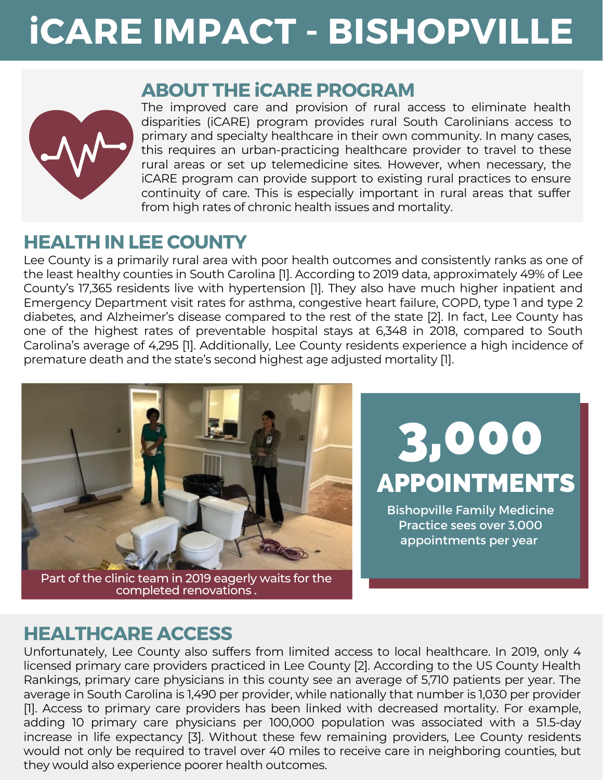# **iCARE IMPACT - BISHOPVILLE**



#### **ABOUT THE iCARE PROGRAM**

The improved care and provision of rural access to eliminate health disparities (iCARE) program provides rural South Carolinians access to primary and specialty healthcare in their own community. In many cases, this requires an [urban-practicing](https://www.cdc.gov/nchs/index.htm) healthcare provider to travel to these rural areas or set up [telemedicine](https://www.cdc.gov/nchs/index.htm) sites. However, when necessary, the iCARE program can provide support to existing rural practices to ensure continuity of care. This is especially important in rural areas that suffer from high rates of chronic health issues and mortality.

### **HEALTH IN LEE COUNTY**

Lee County is a primarily rural area with poor health outcomes and consistently ranks as one of the least healthy counties in South Carolina [1]. According to 2019 data, [approximately](https://www.cdc.gov/nchs/index.htm) 49% of Lee County's 17,365 residents live with hypertension [1]. They also have much higher inpatient and Emergency Department visit rates for asthma, congestive heart failure, COPD, type 1 and type 2 diabetes, and Alzheimer's disease compared to the rest of the state [2]. In fact, Lee County has one of the highest rates of preventable hospital stays at 6,348 in 2018, compared to South Carolina's average of 4,295 [1]. Additionally, Lee County residents experience a high incidence of premature death and the state's second highest age adjusted mortality [1][.](https://www.cdc.gov/nchs/index.htm)



Part of the clinic team in 2019 eagerly waits for the completed renovations .

APPOINTMENTS 3,000

Bishopville Family Medicine Practice sees over 3,000 appointments per year

# **HEALTHCARE ACCESS**

[Unfortunately,](https://www.cdc.gov/nchs/index.htm) Lee County also suffers from limited access to local healthcare. In 2019, only 4 licensed primary care providers practiced in Lee County [2]. According to the US County Health Rankings, primary care physicians in this county see an average of 5,710 patients per year. The average in South Carolina is 1,490 per provider, while nationally that number is 1,030 per provider [1]. Access to primary care providers has been linked with decreased mortality. For example, adding 10 primary care physicians per 100,000 population was associated with a 51.5-day increase in life expectancy [3]. Without these few remaining providers, Lee County residents would not only be required to travel over 40 miles to receive care in neighboring counties, but they would also experience poorer health outcomes[.](https://www.cdc.gov/nchs/index.htm)